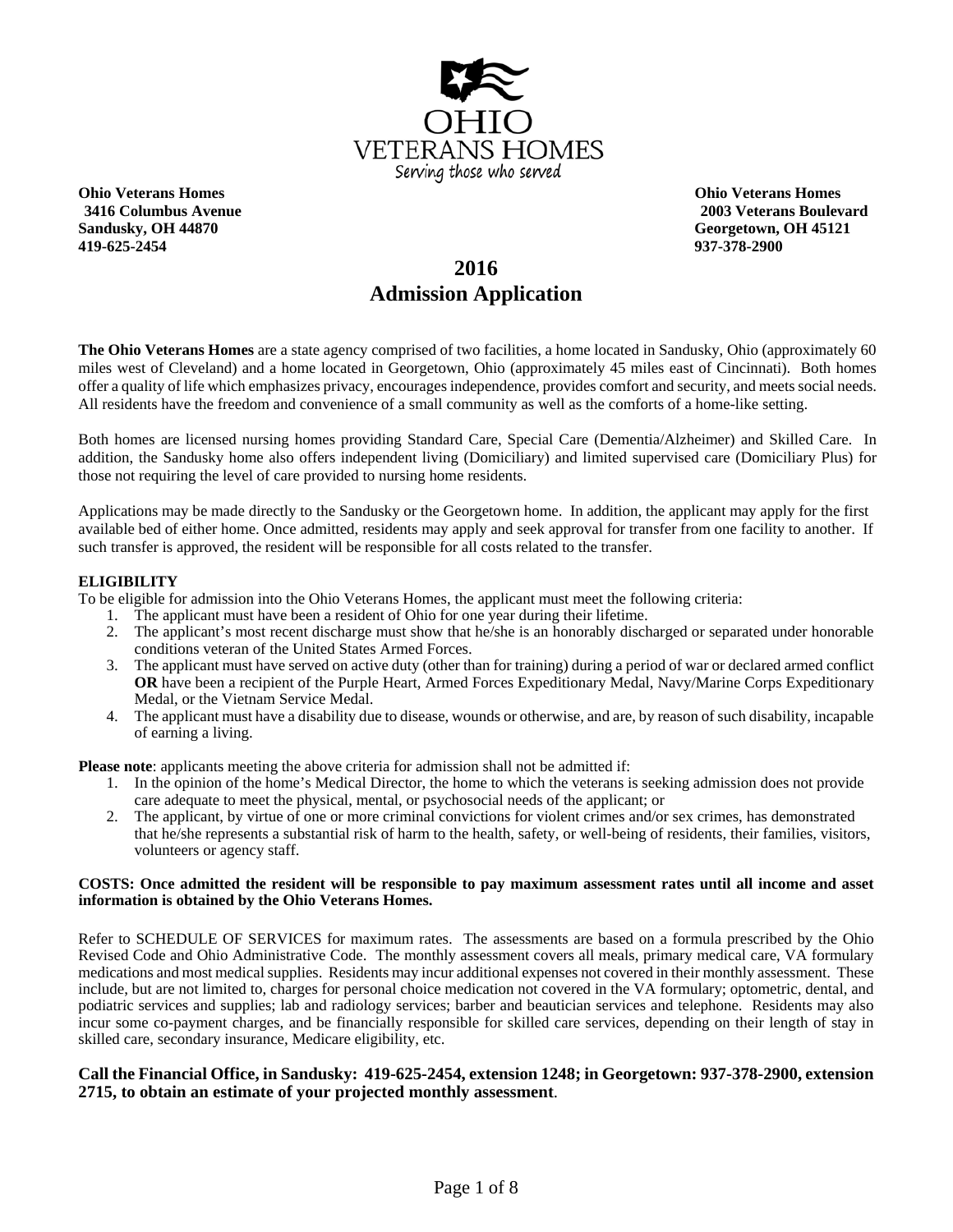

**Ohio Veterans Homes Ohio Veterans Homes Sandusky, OH 44870 Georgetown, OH 45121 419-625-2454 937-378-2900**

**3416 Columbus Avenue 2003 Veterans Boulevard** 

# **2016 Admission Application**

**The Ohio Veterans Homes** are a state agency comprised of two facilities, a home located in Sandusky, Ohio (approximately 60 miles west of Cleveland) and a home located in Georgetown, Ohio (approximately 45 miles east of Cincinnati). Both homes offer a quality of life which emphasizes privacy, encourages independence, provides comfort and security, and meets social needs. All residents have the freedom and convenience of a small community as well as the comforts of a home-like setting.

Both homes are licensed nursing homes providing Standard Care, Special Care (Dementia/Alzheimer) and Skilled Care. In addition, the Sandusky home also offers independent living (Domiciliary) and limited supervised care (Domiciliary Plus) for those not requiring the level of care provided to nursing home residents.

Applications may be made directly to the Sandusky or the Georgetown home. In addition, the applicant may apply for the first available bed of either home. Once admitted, residents may apply and seek approval for transfer from one facility to another. If such transfer is approved, the resident will be responsible for all costs related to the transfer.

#### **ELIGIBILITY**

To be eligible for admission into the Ohio Veterans Homes, the applicant must meet the following criteria:

- 1. The applicant must have been a resident of Ohio for one year during their lifetime.
- 2. The applicant's most recent discharge must show that he/she is an honorably discharged or separated under honorable conditions veteran of the United States Armed Forces.
- 3. The applicant must have served on active duty (other than for training) during a period of war or declared armed conflict **OR** have been a recipient of the Purple Heart, Armed Forces Expeditionary Medal, Navy/Marine Corps Expeditionary Medal, or the Vietnam Service Medal.
- 4. The applicant must have a disability due to disease, wounds or otherwise, and are, by reason of such disability, incapable of earning a living.

**Please note**: applicants meeting the above criteria for admission shall not be admitted if:

- 1. In the opinion of the home's Medical Director, the home to which the veterans is seeking admission does not provide care adequate to meet the physical, mental, or psychosocial needs of the applicant; or
- 2. The applicant, by virtue of one or more criminal convictions for violent crimes and/or sex crimes, has demonstrated that he/she represents a substantial risk of harm to the health, safety, or well-being of residents, their families, visitors, volunteers or agency staff.

#### **COSTS: Once admitted the resident will be responsible to pay maximum assessment rates until all income and asset information is obtained by the Ohio Veterans Homes.**

Refer to SCHEDULE OF SERVICES for maximum rates. The assessments are based on a formula prescribed by the Ohio Revised Code and Ohio Administrative Code. The monthly assessment covers all meals, primary medical care, VA formulary medications and most medical supplies. Residents may incur additional expenses not covered in their monthly assessment. These include, but are not limited to, charges for personal choice medication not covered in the VA formulary; optometric, dental, and podiatric services and supplies; lab and radiology services; barber and beautician services and telephone. Residents may also incur some co-payment charges, and be financially responsible for skilled care services, depending on their length of stay in skilled care, secondary insurance, Medicare eligibility, etc.

#### **Call the Financial Office, in Sandusky: 419-625-2454, extension 1248; in Georgetown: 937-378-2900, extension 2715, to obtain an estimate of your projected monthly assessment**.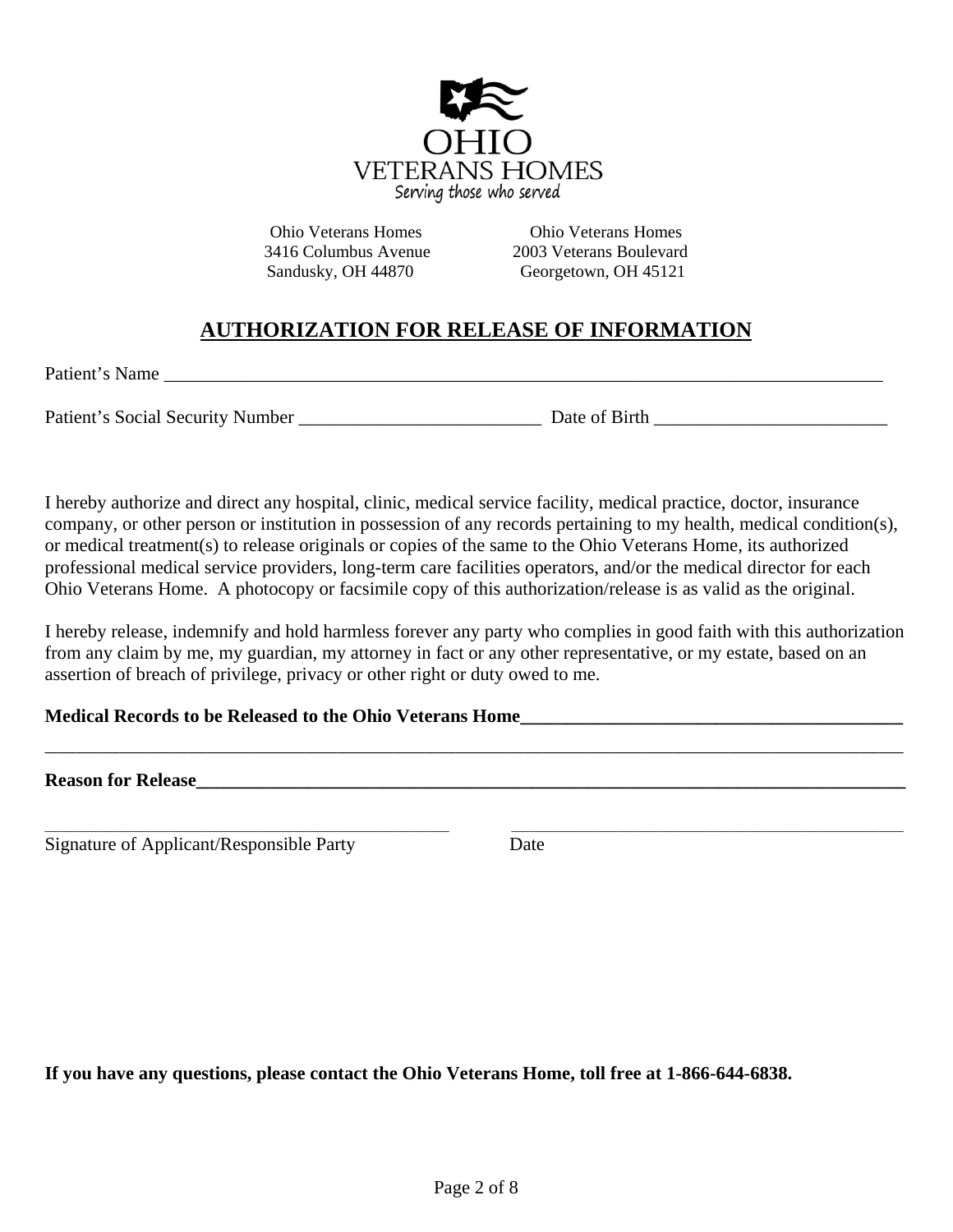

Ohio Veterans Homes Ohio Veterans Homes 3416 Columbus Avenue 2003 Veterans Boulevard Sandusky, OH 44870 Georgetown, OH 45121

# **AUTHORIZATION FOR RELEASE OF INFORMATION**

Patient's Name

Patient's Social Security Number \_\_\_\_\_\_\_\_\_\_\_\_\_\_\_\_\_\_\_\_\_\_\_\_\_\_ Date of Birth \_\_\_\_\_\_\_\_\_\_\_\_\_\_\_\_\_\_\_\_\_\_\_\_\_

I hereby authorize and direct any hospital, clinic, medical service facility, medical practice, doctor, insurance company, or other person or institution in possession of any records pertaining to my health, medical condition(s), or medical treatment(s) to release originals or copies of the same to the Ohio Veterans Home, its authorized professional medical service providers, long-term care facilities operators, and/or the medical director for each Ohio Veterans Home. A photocopy or facsimile copy of this authorization/release is as valid as the original.

I hereby release, indemnify and hold harmless forever any party who complies in good faith with this authorization from any claim by me, my guardian, my attorney in fact or any other representative, or my estate, based on an assertion of breach of privilege, privacy or other right or duty owed to me.

**\_\_\_\_\_\_\_\_\_\_\_\_\_\_\_\_\_\_\_\_\_\_\_\_\_\_\_\_\_\_\_\_\_\_\_\_\_\_\_\_\_\_\_\_\_\_\_\_\_\_\_\_\_\_\_\_\_\_\_\_\_\_\_\_\_\_\_\_\_\_\_\_\_\_\_\_\_\_\_\_\_\_\_\_\_\_\_\_\_\_\_\_\_\_\_\_\_\_\_\_\_\_\_\_\_\_\_\_\_\_\_\_\_\_\_\_\_\_\_\_\_\_\_\_\_\_\_\_\_\_\_\_\_\_\_\_\_\_** 

 $\_$  , and the set of the set of the set of the set of the set of the set of the set of the set of the set of the set of the set of the set of the set of the set of the set of the set of the set of the set of the set of th

### **Medical Records to be Released to the Ohio Veterans Home\_\_\_\_\_\_\_\_\_\_\_\_\_\_\_\_\_\_\_\_\_\_\_\_\_\_\_\_\_\_\_\_\_\_\_\_\_\_\_\_\_**

**Reason for Release** 

Signature of Applicant/Responsible Party Date

**If you have any questions, please contact the Ohio Veterans Home, toll free at 1-866-644-6838.**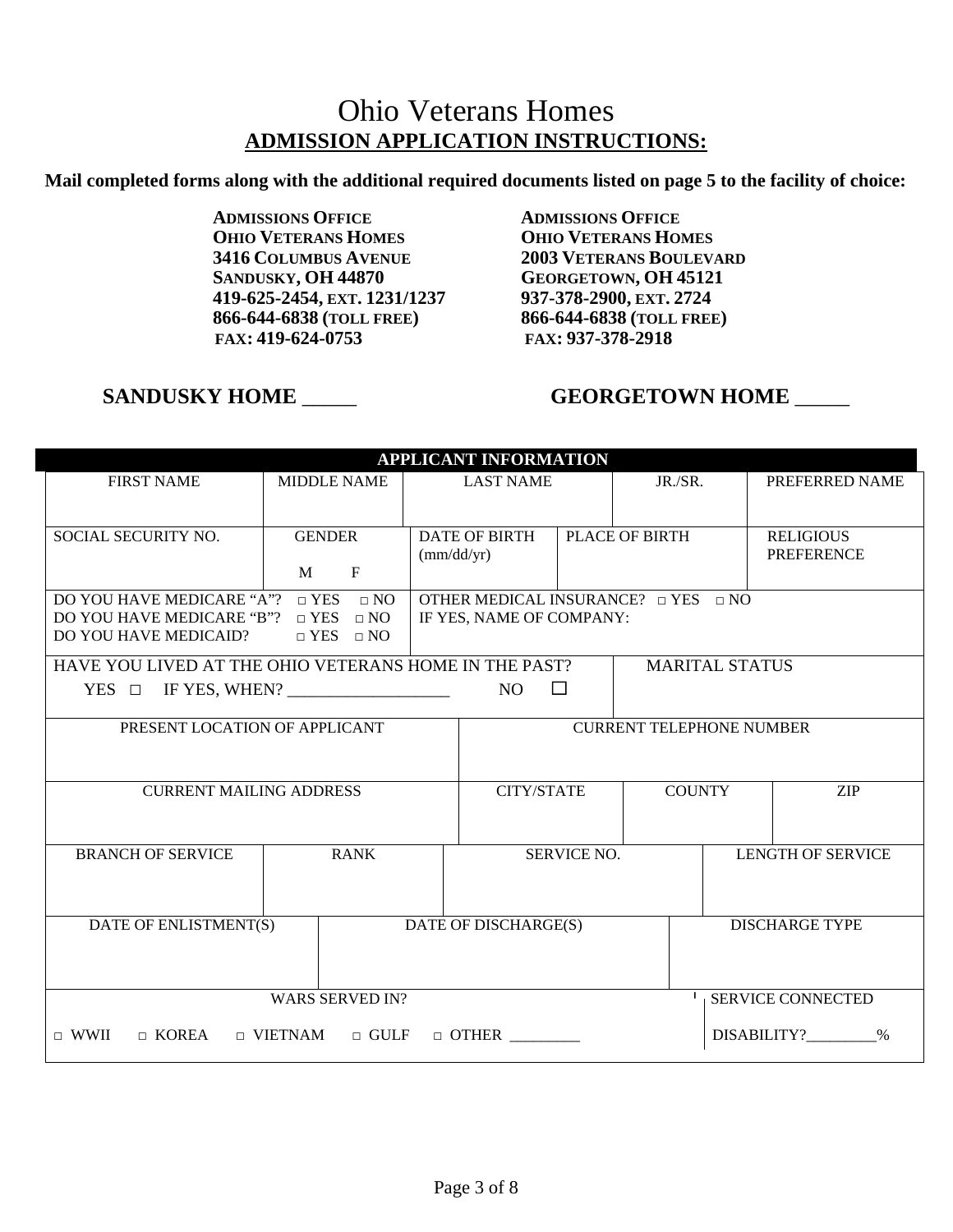# Ohio Veterans Homes **ADMISSION APPLICATION INSTRUCTIONS:**

**Mail completed forms along with the additional required documents listed on page 5 to the facility of choice:**

**ADMISSIONS OFFICE ADMISSIONS OFFICE OHIO VETERANS HOMES**<br> **1416 COLUMBUS AVENUE**<br> **2003 VETERANS BOULEV. SANDUSKY, OH 44870 GEORGETOWN, OH 45121 419-625-2454, EXT. 1231/1237 937-378-2900, EXT. 2724 866-644-6838 (TOLL FREE) 866-644-6838 (TOLL FREE)** 

**2003 VETERANS BOULEVARD FAX: 419-624-0753 FAX: 937-378-2918** 

# **SANDUSKY HOME \_\_\_\_\_\_ 6EORGETOWN HOME \_\_\_\_\_**

| <b>APPLICANT INFORMATION</b>                                                   |                                                    |                      |                                                                           |             |                                 |                       |                          |  |  |
|--------------------------------------------------------------------------------|----------------------------------------------------|----------------------|---------------------------------------------------------------------------|-------------|---------------------------------|-----------------------|--------------------------|--|--|
| <b>FIRST NAME</b>                                                              | <b>MIDDLE NAME</b>                                 | <b>LAST NAME</b>     |                                                                           | JR./SR.     |                                 | PREFERRED NAME        |                          |  |  |
|                                                                                |                                                    |                      |                                                                           |             |                                 |                       |                          |  |  |
| SOCIAL SECURITY NO.                                                            | <b>GENDER</b>                                      | <b>DATE OF BIRTH</b> |                                                                           |             | <b>PLACE OF BIRTH</b>           |                       | <b>RELIGIOUS</b>         |  |  |
|                                                                                | $\mathbf{F}$<br>M                                  | $\text{(mm/dd/yr)}$  |                                                                           |             |                                 |                       | <b>PREFERENCE</b>        |  |  |
|                                                                                |                                                    |                      |                                                                           |             |                                 |                       |                          |  |  |
| DO YOU HAVE MEDICARE "A"?<br>DO YOU HAVE MEDICARE "B"?                         | $\Box$ YES<br>$\Box$ NO<br>$\Box$ YES<br>$\Box$ NO |                      | OTHER MEDICAL INSURANCE? $\Box$ YES $\Box$ NO<br>IF YES, NAME OF COMPANY: |             |                                 |                       |                          |  |  |
| DO YOU HAVE MEDICAID?                                                          | $\Box$ YES $\Box$ NO                               |                      |                                                                           |             |                                 |                       |                          |  |  |
| HAVE YOU LIVED AT THE OHIO VETERANS HOME IN THE PAST?                          |                                                    |                      |                                                                           |             |                                 | <b>MARITAL STATUS</b> |                          |  |  |
| $\Box$<br>$YES \Box IFYES, WHEN?$<br>NO.                                       |                                                    |                      |                                                                           |             |                                 |                       |                          |  |  |
| PRESENT LOCATION OF APPLICANT                                                  |                                                    |                      |                                                                           |             | <b>CURRENT TELEPHONE NUMBER</b> |                       |                          |  |  |
|                                                                                |                                                    |                      |                                                                           |             |                                 |                       |                          |  |  |
| <b>CURRENT MAILING ADDRESS</b>                                                 |                                                    | <b>CITY/STATE</b>    |                                                                           |             | <b>COUNTY</b><br><b>ZIP</b>     |                       |                          |  |  |
|                                                                                |                                                    |                      |                                                                           |             |                                 |                       |                          |  |  |
| <b>BRANCH OF SERVICE</b>                                                       | <b>RANK</b>                                        |                      |                                                                           | SERVICE NO. |                                 |                       | <b>LENGTH OF SERVICE</b> |  |  |
|                                                                                |                                                    |                      |                                                                           |             |                                 |                       |                          |  |  |
|                                                                                |                                                    |                      |                                                                           |             |                                 |                       |                          |  |  |
| DATE OF ENLISTMENT(S)                                                          | DATE OF DISCHARGE(S)<br><b>DISCHARGE TYPE</b>      |                      |                                                                           |             |                                 |                       |                          |  |  |
|                                                                                |                                                    |                      |                                                                           |             |                                 |                       |                          |  |  |
|                                                                                |                                                    |                      |                                                                           |             |                                 |                       |                          |  |  |
| <b>WARS SERVED IN?</b><br><b>SERVICE CONNECTED</b>                             |                                                    |                      |                                                                           |             |                                 |                       |                          |  |  |
| $\sqcap$ WWII<br>$\Box$ KOREA<br>$\Box$ VIETNAM<br>$\Box$ GULF<br>$\Box$ OTHER |                                                    |                      |                                                                           |             |                                 |                       | DISABILITY?<br>$\%$      |  |  |
|                                                                                |                                                    |                      |                                                                           |             |                                 |                       |                          |  |  |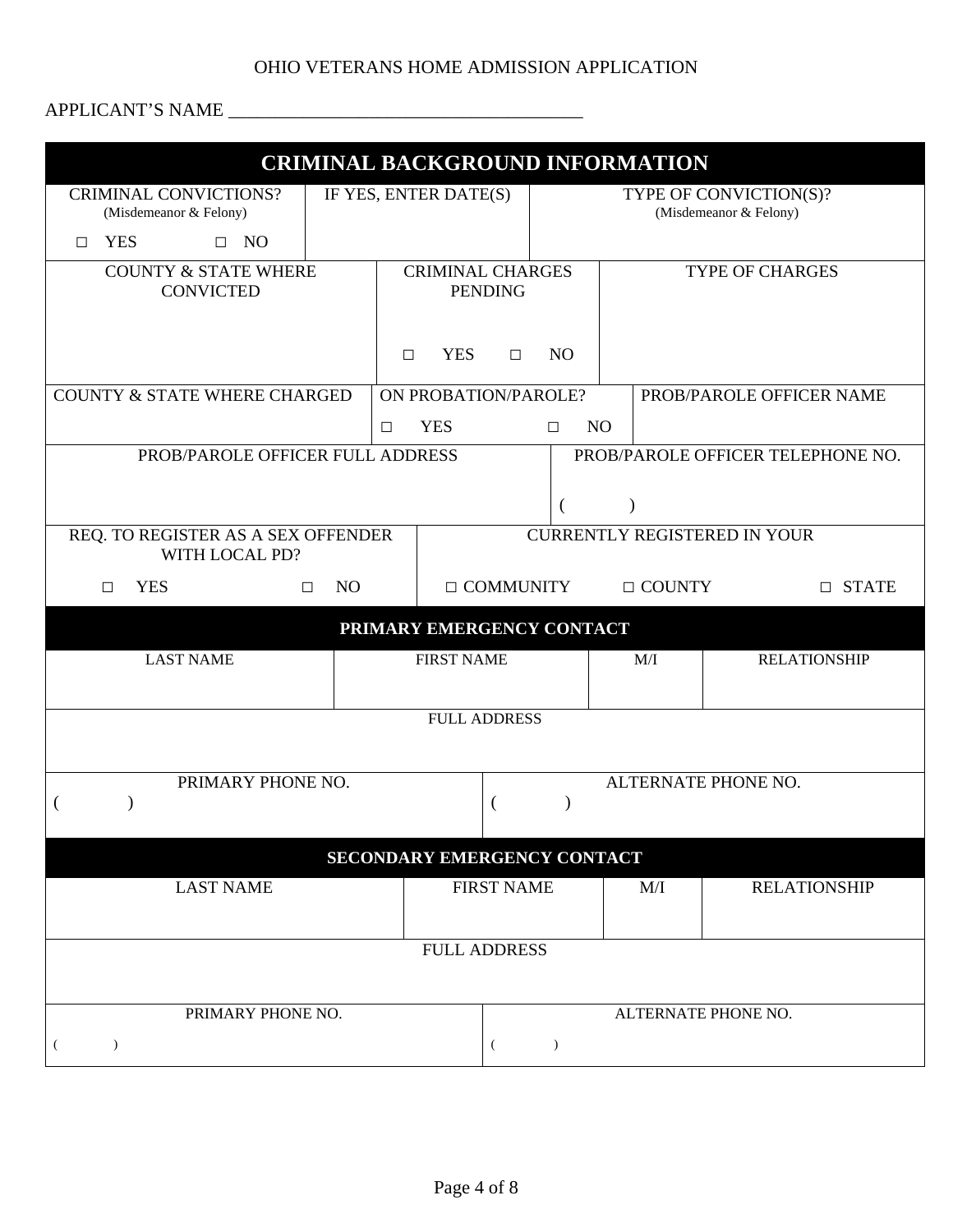## OHIO VETERANS HOME ADMISSION APPLICATION

## APPLICANT'S NAME \_\_\_\_\_\_\_\_\_\_\_\_\_\_\_\_\_\_\_\_\_\_\_\_\_\_\_\_\_\_\_\_\_\_\_\_\_\_

|                                                                       |                                                  |               | <b>CRIMINAL BACKGROUND INFORMATION</b>           |                               |                                                  |                     |                     |  |
|-----------------------------------------------------------------------|--------------------------------------------------|---------------|--------------------------------------------------|-------------------------------|--------------------------------------------------|---------------------|---------------------|--|
| <b>CRIMINAL CONVICTIONS?</b><br>(Misdemeanor & Felony)                | IF YES, ENTER DATE(S)                            |               |                                                  |                               | TYPE OF CONVICTION(S)?<br>(Misdemeanor & Felony) |                     |                     |  |
| <b>YES</b><br>$\Box$ NO<br>П.                                         |                                                  |               |                                                  |                               |                                                  |                     |                     |  |
| <b>COUNTY &amp; STATE WHERE</b><br><b>CONVICTED</b>                   | <b>CRIMINAL CHARGES</b><br><b>PENDING</b>        |               |                                                  | <b>TYPE OF CHARGES</b>        |                                                  |                     |                     |  |
|                                                                       | <b>YES</b><br>N <sub>O</sub><br>$\Box$<br>$\Box$ |               |                                                  |                               |                                                  |                     |                     |  |
| <b>COUNTY &amp; STATE WHERE CHARGED</b>                               |                                                  |               | ON PROBATION/PAROLE?<br>PROB/PAROLE OFFICER NAME |                               |                                                  |                     |                     |  |
|                                                                       |                                                  | $\Box$        | <b>YES</b><br>N <sub>O</sub><br>$\Box$           |                               |                                                  |                     |                     |  |
| PROB/PAROLE OFFICER FULL ADDRESS<br>PROB/PAROLE OFFICER TELEPHONE NO. |                                                  |               |                                                  |                               |                                                  |                     |                     |  |
| REQ. TO REGISTER AS A SEX OFFENDER<br>WITH LOCAL PD?                  |                                                  |               |                                                  |                               | <b>CURRENTLY REGISTERED IN YOUR</b>              |                     |                     |  |
| <b>YES</b><br>$\Box$                                                  | N <sub>O</sub><br>$\Box$ COMMUNITY<br>$\Box$     |               |                                                  | $\Box$ COUNTY<br>$\Box$ STATE |                                                  |                     |                     |  |
|                                                                       |                                                  |               | PRIMARY EMERGENCY CONTACT                        |                               |                                                  |                     |                     |  |
| <b>LAST NAME</b>                                                      |                                                  |               | <b>FIRST NAME</b>                                |                               | M/I<br><b>RELATIONSHIP</b>                       |                     |                     |  |
| <b>FULL ADDRESS</b>                                                   |                                                  |               |                                                  |                               |                                                  |                     |                     |  |
|                                                                       |                                                  |               |                                                  |                               |                                                  |                     |                     |  |
| PRIMARY PHONE NO.                                                     |                                                  |               |                                                  |                               |                                                  | ALTERNATE PHONE NO. |                     |  |
|                                                                       |                                                  |               | SECONDARY EMERGENCY CONTACT                      |                               |                                                  |                     |                     |  |
| <b>LAST NAME</b>                                                      |                                                  |               | <b>FIRST NAME</b>                                |                               | M/I                                              |                     | <b>RELATIONSHIP</b> |  |
|                                                                       |                                                  |               | <b>FULL ADDRESS</b>                              |                               |                                                  |                     |                     |  |
|                                                                       |                                                  |               |                                                  |                               |                                                  |                     |                     |  |
| PRIMARY PHONE NO.                                                     |                                                  |               |                                                  |                               |                                                  | ALTERNATE PHONE NO. |                     |  |
| $\mathcal{L}$<br>€                                                    | $\left($                                         | $\mathcal{L}$ |                                                  |                               |                                                  |                     |                     |  |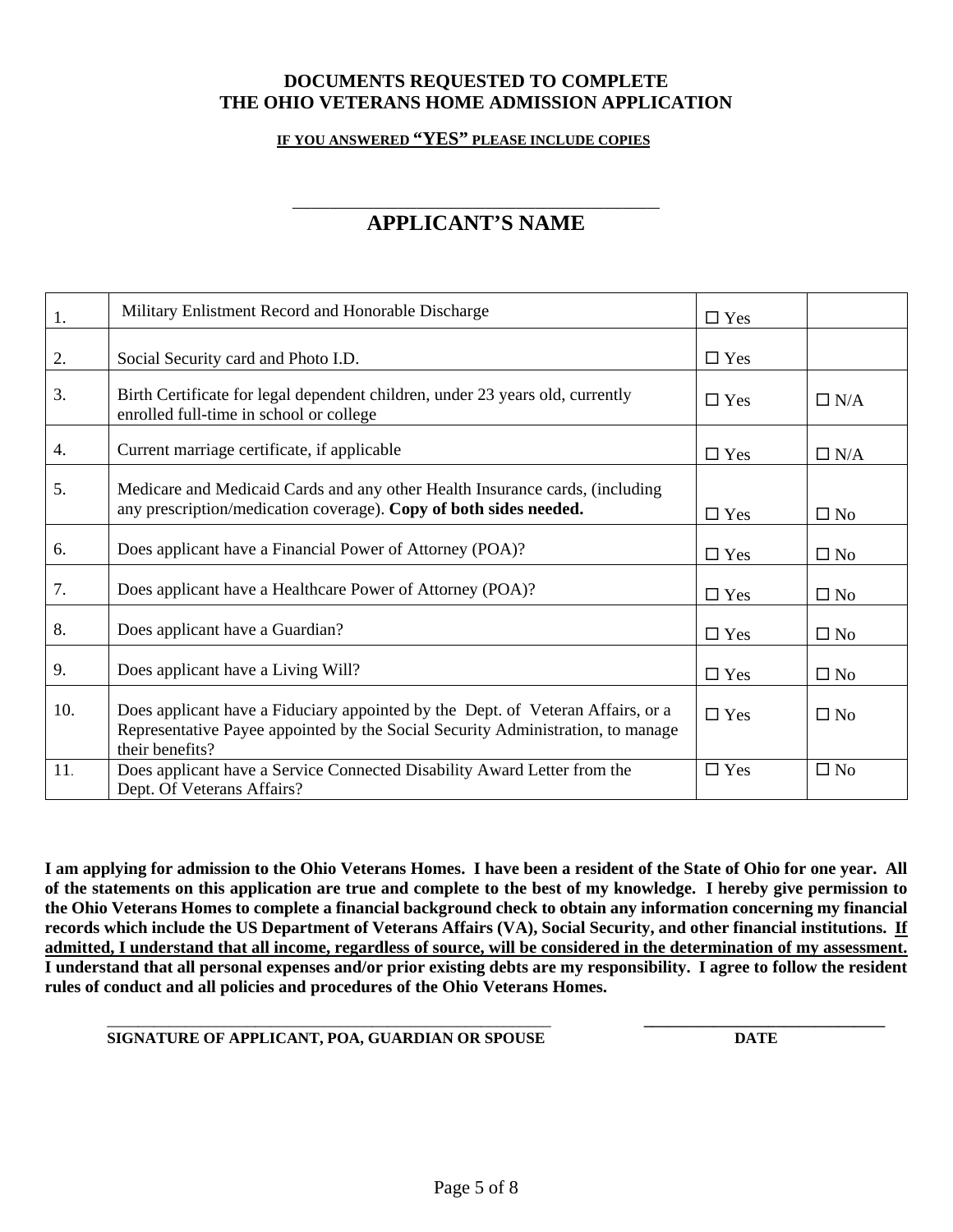## **DOCUMENTS REQUESTED TO COMPLETE THE OHIO VETERANS HOME ADMISSION APPLICATION**

**IF YOU ANSWERED "YES" PLEASE INCLUDE COPIES** 

#### **\_\_\_\_\_\_\_\_\_\_\_\_\_\_\_\_\_\_\_\_\_\_\_\_\_\_\_\_\_\_\_\_\_\_\_\_\_\_\_\_\_\_\_\_\_\_\_\_\_\_\_\_\_\_\_\_\_\_\_ APPLICANT'S NAME**

| 1.  | Military Enlistment Record and Honorable Discharge                                                                                                                                    | $\Box$ Yes |              |
|-----|---------------------------------------------------------------------------------------------------------------------------------------------------------------------------------------|------------|--------------|
| 2.  | Social Security card and Photo I.D.                                                                                                                                                   | $\Box$ Yes |              |
| 3.  | Birth Certificate for legal dependent children, under 23 years old, currently<br>enrolled full-time in school or college                                                              | $\Box$ Yes | $\Box$ N/A   |
| 4.  | Current marriage certificate, if applicable                                                                                                                                           | $\Box$ Yes | $\Box$ N/A   |
| 5.  | Medicare and Medicaid Cards and any other Health Insurance cards, (including<br>any prescription/medication coverage). Copy of both sides needed.                                     | $\Box$ Yes | $\square$ No |
| 6.  | Does applicant have a Financial Power of Attorney (POA)?                                                                                                                              | $\Box$ Yes | $\square$ No |
| 7.  | Does applicant have a Healthcare Power of Attorney (POA)?                                                                                                                             | $\Box$ Yes | $\Box$ No    |
| 8.  | Does applicant have a Guardian?                                                                                                                                                       | $\Box$ Yes | $\square$ No |
| 9.  | Does applicant have a Living Will?                                                                                                                                                    | $\Box$ Yes | $\square$ No |
| 10. | Does applicant have a Fiduciary appointed by the Dept. of Veteran Affairs, or a<br>Representative Payee appointed by the Social Security Administration, to manage<br>their benefits? | $\Box$ Yes | $\Box$ No    |
| 11. | Does applicant have a Service Connected Disability Award Letter from the<br>Dept. Of Veterans Affairs?                                                                                | $\Box$ Yes | $\square$ No |

**I am applying for admission to the Ohio Veterans Homes. I have been a resident of the State of Ohio for one year. All of the statements on this application are true and complete to the best of my knowledge. I hereby give permission to the Ohio Veterans Homes to complete a financial background check to obtain any information concerning my financial records which include the US Department of Veterans Affairs (VA), Social Security, and other financial institutions. If admitted, I understand that all income, regardless of source, will be considered in the determination of my assessment. I understand that all personal expenses and/or prior existing debts are my responsibility. I agree to follow the resident rules of conduct and all policies and procedures of the Ohio Veterans Homes.**

 $\mathcal{L}_\text{max} = \frac{1}{2} \sum_{i=1}^{n} \frac{1}{2} \sum_{i=1}^{n} \frac{1}{2} \sum_{i=1}^{n} \frac{1}{2} \sum_{i=1}^{n} \frac{1}{2} \sum_{i=1}^{n} \frac{1}{2} \sum_{i=1}^{n} \frac{1}{2} \sum_{i=1}^{n} \frac{1}{2} \sum_{i=1}^{n} \frac{1}{2} \sum_{i=1}^{n} \frac{1}{2} \sum_{i=1}^{n} \frac{1}{2} \sum_{i=1}^{n} \frac{1}{2} \sum_{i=1}^{n} \frac{1$ 

#### **SIGNATURE OF APPLICANT, POA, GUARDIAN OR SPOUSE DATE**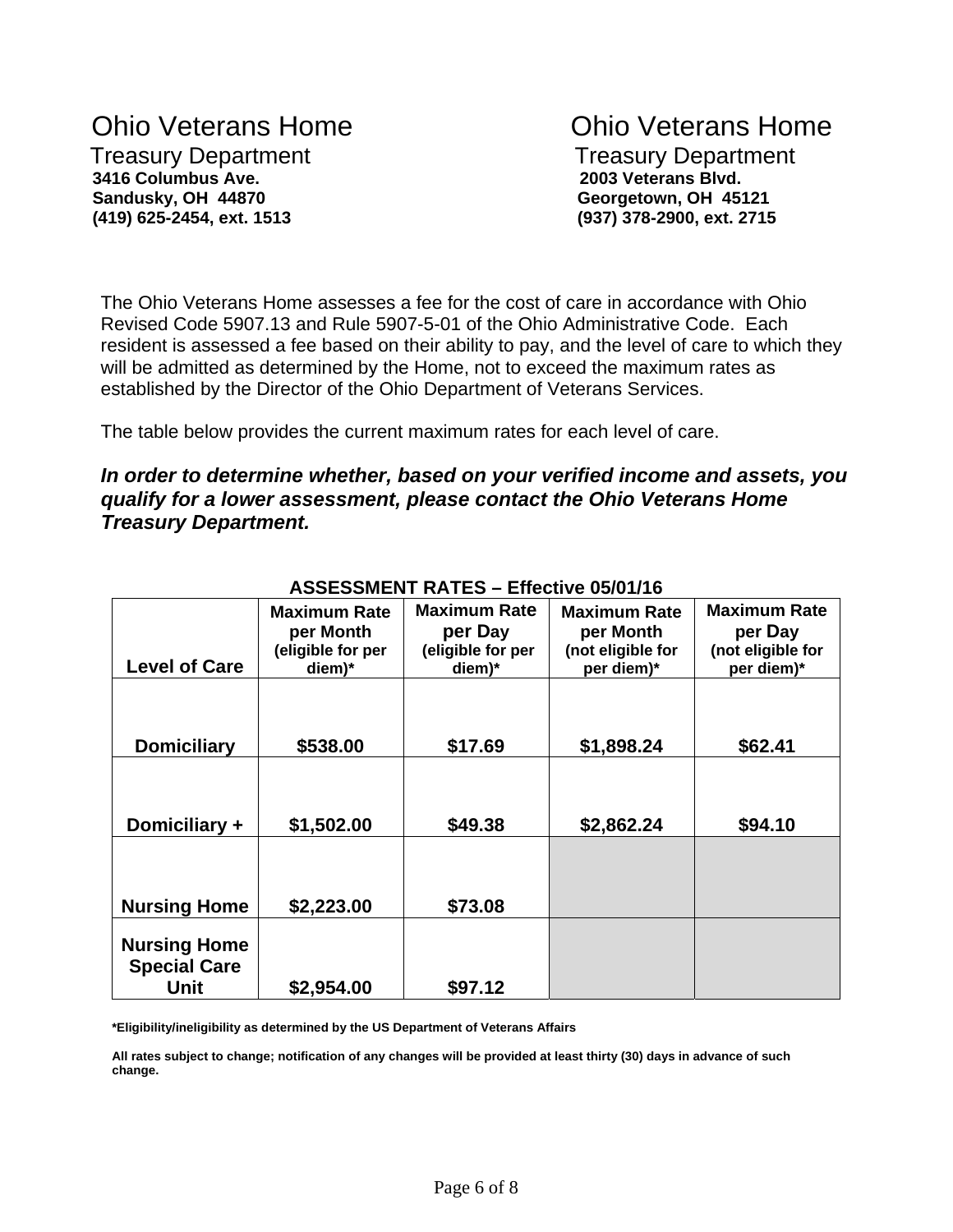# Ohio Veterans Home Ohio Veterans Home Treasury Department Treasury Department  **3416 Columbus Ave. 2003 Veterans Blvd. Sandusky, OH 44870 Georgetown, OH 45121**

 **(419) 625-2454, ext. 1513 (937) 378-2900, ext. 2715**

The Ohio Veterans Home assesses a fee for the cost of care in accordance with Ohio Revised Code 5907.13 and Rule 5907-5-01 of the Ohio Administrative Code. Each resident is assessed a fee based on their ability to pay, and the level of care to which they will be admitted as determined by the Home, not to exceed the maximum rates as established by the Director of the Ohio Department of Veterans Services.

The table below provides the current maximum rates for each level of care.

## *In order to determine whether, based on your verified income and assets, you qualify for a lower assessment, please contact the Ohio Veterans Home Treasury Department.*

| <b>Level of Care</b>                               | <b>Maximum Rate</b><br>per Month<br>(eligible for per<br>diem)* | <b>Maximum Rate</b><br>per Day<br>(eligible for per<br>diem)* | <b>Maximum Rate</b><br>per Month<br>(not eligible for<br>per diem)* | <b>Maximum Rate</b><br>per Day<br>(not eligible for<br>per diem)* |
|----------------------------------------------------|-----------------------------------------------------------------|---------------------------------------------------------------|---------------------------------------------------------------------|-------------------------------------------------------------------|
| <b>Domiciliary</b>                                 | \$538.00                                                        | \$17.69                                                       | \$1,898.24                                                          | \$62.41                                                           |
| Domiciliary +                                      | \$1,502.00                                                      | \$49.38                                                       | \$2,862.24                                                          | \$94.10                                                           |
| <b>Nursing Home</b>                                | \$2,223.00                                                      | \$73.08                                                       |                                                                     |                                                                   |
| <b>Nursing Home</b><br><b>Special Care</b><br>Unit | \$2,954.00                                                      | \$97.12                                                       |                                                                     |                                                                   |

## **ASSESSMENT RATES – Effective 05/01/16**

**\*Eligibility/ineligibility as determined by the US Department of Veterans Affairs** 

**All rates subject to change; notification of any changes will be provided at least thirty (30) days in advance of such change.**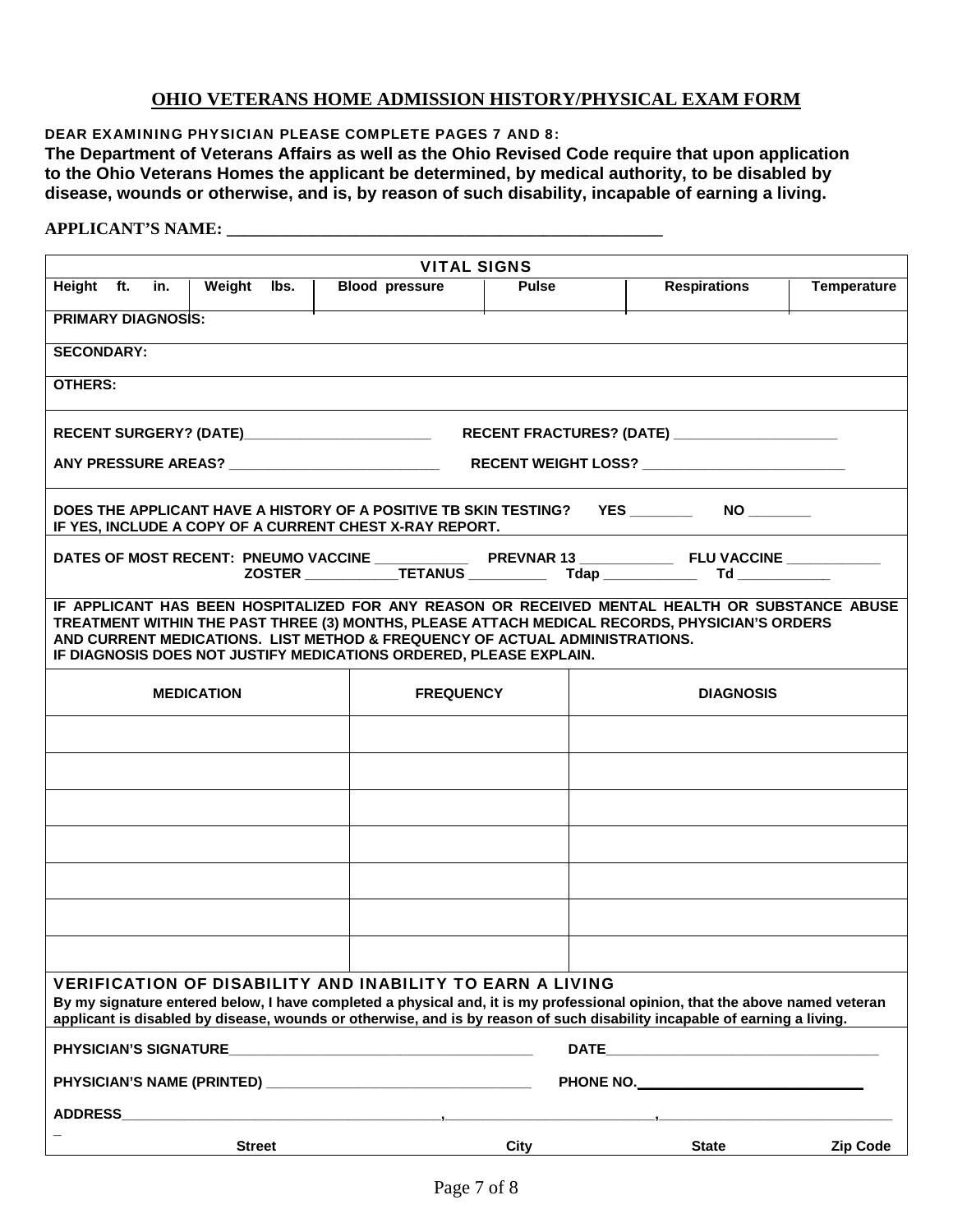### **OHIO VETERANS HOME ADMISSION HISTORY/PHYSICAL EXAM FORM**

DEAR EXAMINING PHYSICIAN PLEASE COMPLETE PAGES 7 AND 8:

**The Department of Veterans Affairs as well as the Ohio Revised Code require that upon application to the Ohio Veterans Homes the applicant be determined, by medical authority, to be disabled by disease, wounds or otherwise, and is, by reason of such disability, incapable of earning a living.** 

#### **APPLICANT'S NAME: \_\_\_\_\_\_\_\_\_\_\_\_\_\_\_\_\_\_\_\_\_\_\_\_\_\_\_\_\_\_\_\_\_\_\_\_\_\_\_\_\_\_\_\_\_\_\_\_\_\_\_**

| <b>VITAL SIGNS</b>                                                                                                                                                                                                                                                                                                                                   |                                                           |                                                     |  |                                                                                                                             |              |  |                                                                                                      |                    |
|------------------------------------------------------------------------------------------------------------------------------------------------------------------------------------------------------------------------------------------------------------------------------------------------------------------------------------------------------|-----------------------------------------------------------|-----------------------------------------------------|--|-----------------------------------------------------------------------------------------------------------------------------|--------------|--|------------------------------------------------------------------------------------------------------|--------------------|
| Height ft.                                                                                                                                                                                                                                                                                                                                           | in.                                                       | Weight<br>lbs.                                      |  | <b>Blood</b> pressure                                                                                                       | <b>Pulse</b> |  | <b>Respirations</b>                                                                                  | <b>Temperature</b> |
| <b>PRIMARY DIAGNOSIS:</b>                                                                                                                                                                                                                                                                                                                            |                                                           |                                                     |  |                                                                                                                             |              |  |                                                                                                      |                    |
| <b>SECONDARY:</b>                                                                                                                                                                                                                                                                                                                                    |                                                           |                                                     |  |                                                                                                                             |              |  |                                                                                                      |                    |
| <b>OTHERS:</b>                                                                                                                                                                                                                                                                                                                                       |                                                           |                                                     |  |                                                                                                                             |              |  |                                                                                                      |                    |
|                                                                                                                                                                                                                                                                                                                                                      |                                                           | RECENT SURGERY? (DATE)_____________________________ |  |                                                                                                                             |              |  | RECENT FRACTURES? (DATE) ______________________                                                      |                    |
|                                                                                                                                                                                                                                                                                                                                                      |                                                           |                                                     |  |                                                                                                                             |              |  | ANY PRESSURE AREAS? __________________________________RECENT WEIGHT LOSS? __________________________ |                    |
|                                                                                                                                                                                                                                                                                                                                                      |                                                           |                                                     |  | DOES THE APPLICANT HAVE A HISTORY OF A POSITIVE TB SKIN TESTING?<br>IF YES, INCLUDE A COPY OF A CURRENT CHEST X-RAY REPORT. |              |  | YES __________  NO _________                                                                         |                    |
|                                                                                                                                                                                                                                                                                                                                                      |                                                           |                                                     |  |                                                                                                                             |              |  |                                                                                                      |                    |
| IF APPLICANT HAS BEEN HOSPITALIZED FOR ANY REASON OR RECEIVED MENTAL HEALTH OR SUBSTANCE ABUSE<br>TREATMENT WITHIN THE PAST THREE (3) MONTHS, PLEASE ATTACH MEDICAL RECORDS, PHYSICIAN'S ORDERS<br>AND CURRENT MEDICATIONS. LIST METHOD & FREQUENCY OF ACTUAL ADMINISTRATIONS.<br>IF DIAGNOSIS DOES NOT JUSTIFY MEDICATIONS ORDERED, PLEASE EXPLAIN. |                                                           |                                                     |  |                                                                                                                             |              |  |                                                                                                      |                    |
|                                                                                                                                                                                                                                                                                                                                                      | <b>MEDICATION</b><br><b>DIAGNOSIS</b><br><b>FREQUENCY</b> |                                                     |  |                                                                                                                             |              |  |                                                                                                      |                    |
|                                                                                                                                                                                                                                                                                                                                                      |                                                           |                                                     |  |                                                                                                                             |              |  |                                                                                                      |                    |
|                                                                                                                                                                                                                                                                                                                                                      |                                                           |                                                     |  |                                                                                                                             |              |  |                                                                                                      |                    |
|                                                                                                                                                                                                                                                                                                                                                      |                                                           |                                                     |  |                                                                                                                             |              |  |                                                                                                      |                    |
|                                                                                                                                                                                                                                                                                                                                                      |                                                           |                                                     |  |                                                                                                                             |              |  |                                                                                                      |                    |
|                                                                                                                                                                                                                                                                                                                                                      |                                                           |                                                     |  |                                                                                                                             |              |  |                                                                                                      |                    |
|                                                                                                                                                                                                                                                                                                                                                      |                                                           |                                                     |  |                                                                                                                             |              |  |                                                                                                      |                    |
|                                                                                                                                                                                                                                                                                                                                                      |                                                           |                                                     |  |                                                                                                                             |              |  |                                                                                                      |                    |
| <b>VERIFICATION OF DISABILITY AND INABILITY TO EARN A LIVING</b><br>By my signature entered below, I have completed a physical and, it is my professional opinion, that the above named veteran<br>applicant is disabled by disease, wounds or otherwise, and is by reason of such disability incapable of earning a living.                         |                                                           |                                                     |  |                                                                                                                             |              |  |                                                                                                      |                    |
| <b>PHYSICIAN'S SIGNATURE</b><br><u> 1989 - Johann Stein, mars an deutscher Stein und der Stein und der Stein und der Stein und der Stein und der</u>                                                                                                                                                                                                 |                                                           |                                                     |  |                                                                                                                             |              |  |                                                                                                      |                    |
| PHONE NO.                                                                                                                                                                                                                                                                                                                                            |                                                           |                                                     |  |                                                                                                                             |              |  |                                                                                                      |                    |
| <b>ADDRESS</b>                                                                                                                                                                                                                                                                                                                                       |                                                           |                                                     |  |                                                                                                                             |              |  |                                                                                                      |                    |
|                                                                                                                                                                                                                                                                                                                                                      |                                                           | <b>Street</b>                                       |  |                                                                                                                             | City         |  | <b>State</b>                                                                                         | <b>Zip Code</b>    |